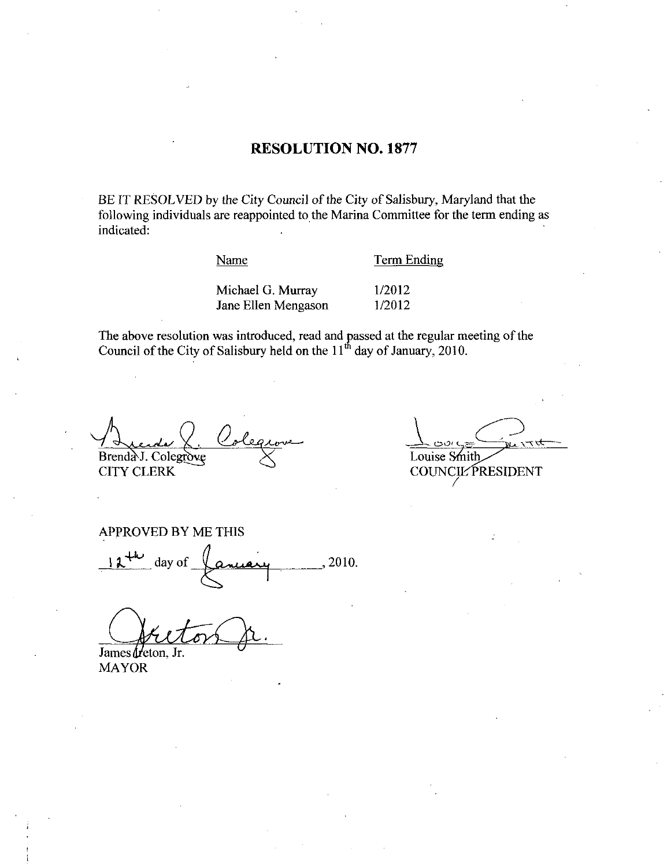### **RESOLUTION NO. 1877**

BE IT RESOLVED by the City Council of the City of Salisbury, Maryland that the following individuals are reappointed to the Marina Committee for the term ending as indicated:

Name

**Term Ending** 

Michael G. Murray 1/2012 1/2012 Jane Ellen Mengason

The above resolution was introduced, read and passed at the regular meeting of the Council of the City of Salisbury held on the 11<sup>th</sup> day of January, 2010.

Brenda J. Colegrove

**CITY CLERK** 

Louise Smith **COUNCIL PRESIDENT** 

**APPROVED BY ME THIS** 2010. day of

James freton, Jr.

**MAYOR**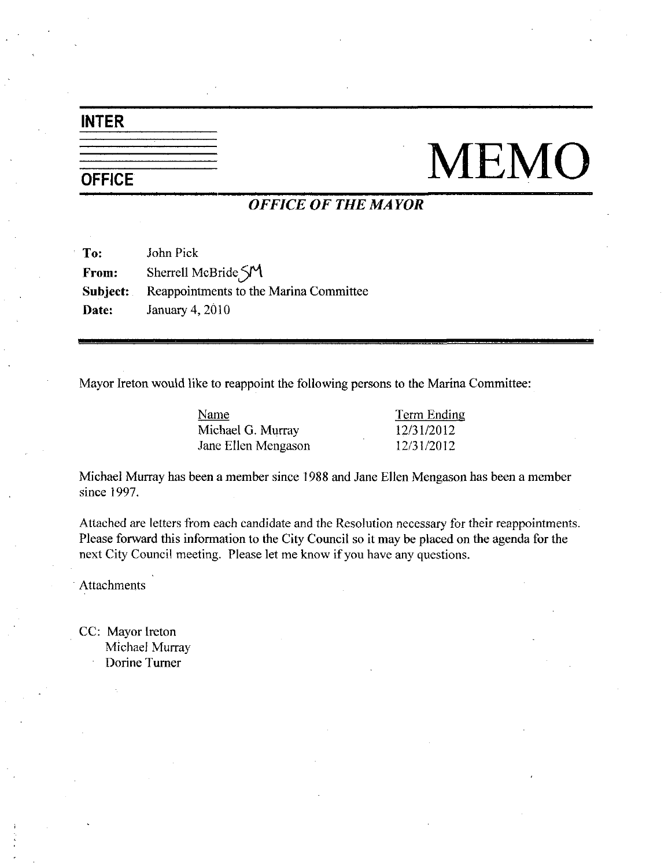## INTER

# $\frac{1}{\sqrt{1-\frac{1}{\sqrt{1-\frac{1}{\sqrt{1-\frac{1}{\sqrt{1-\frac{1}{\sqrt{1-\frac{1}{\sqrt{1-\frac{1}{\sqrt{1-\frac{1}{\sqrt{1-\frac{1}{\sqrt{1-\frac{1}{\sqrt{1-\frac{1}{\sqrt{1-\frac{1}{\sqrt{1-\frac{1}{\sqrt{1-\frac{1}{\sqrt{1-\frac{1}{\sqrt{1-\frac{1}{\sqrt{1-\frac{1}{\sqrt{1-\frac{1}{\sqrt{1-\frac{1}{\sqrt{1-\frac{1}{\sqrt{1-\frac{1}{\sqrt{1-\frac{1}{\sqrt{1-\frac{1}{\sqrt{1-\frac{1}{\sqrt{1-\frac{1$

### OFFICE OF THE MAYOR

| To:   | John Pick                                              |
|-------|--------------------------------------------------------|
| From: | Sherrell McBride $\mathcal{S}$ M                       |
|       | <b>Subject:</b> Reappointments to the Marina Committee |
| Date: | <b>January 4, 2010</b>                                 |

Mayor Ireton would like to reappoint the following persons to the Marina Committee:

| Name                | <b>Term Ending</b> |
|---------------------|--------------------|
| Michael G. Murray   | 12/31/2012         |
| Jane Ellen Mengason | 12/31/2012         |
|                     |                    |

Michael Murray has been a member since 1988 and Jane Ellen Mengason has been a member since 1997.

Attached are letters from each candidate and the Resolution necessary for their reappointments Please forward this information to the City Council so it may be placed on the agenda for the next City Council meeting. Please let me know if you have any questions.

Attachments

CC: Mayor Ireton Michael Murray Dorine Turner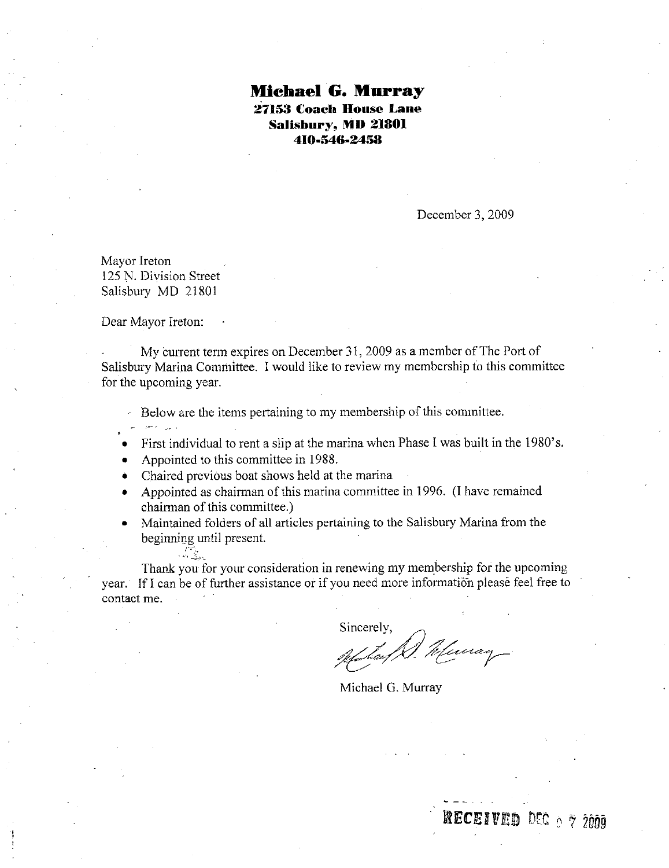### Michael G. Murray 27153 Coacb house Lane Salisbury, MD 21801 Coach House<br>sbury, MD 21<br>410-546-2458

December 3, 2009

Mayor Ireton 125 N. Division Street Salisbury MD 21801

Dear Mayor Ireton

My current term expires on December 31, 2009 as a member of The Port of Salisbury Marina Committee. I would like to review my membership to this committee for the upcoming year

Below are the items pertaining to my membership of this committee.

- First individual to rent a slip at the marina when Phase I was built in the 1980's.
- Appointed to this committee in 1988
- Chaired previous boat shows held at the marina
- Chaired previous boat shows held at the marina<br>Appointed as chairman of this marina committee in 1996. (I have remained chairman of this committee.)
- Maintained folders of all articles pertaining to the Salisbury Marina from the beginning until present

Thank you for your consideration in renewing my membership for the upcoming year. If I can be of further assistance or if you need more information please feel free to contact me

Sincerely,<br>Without D. Meuray

**ECEIVED** DEC 0 7 2009

Michael G. Murray